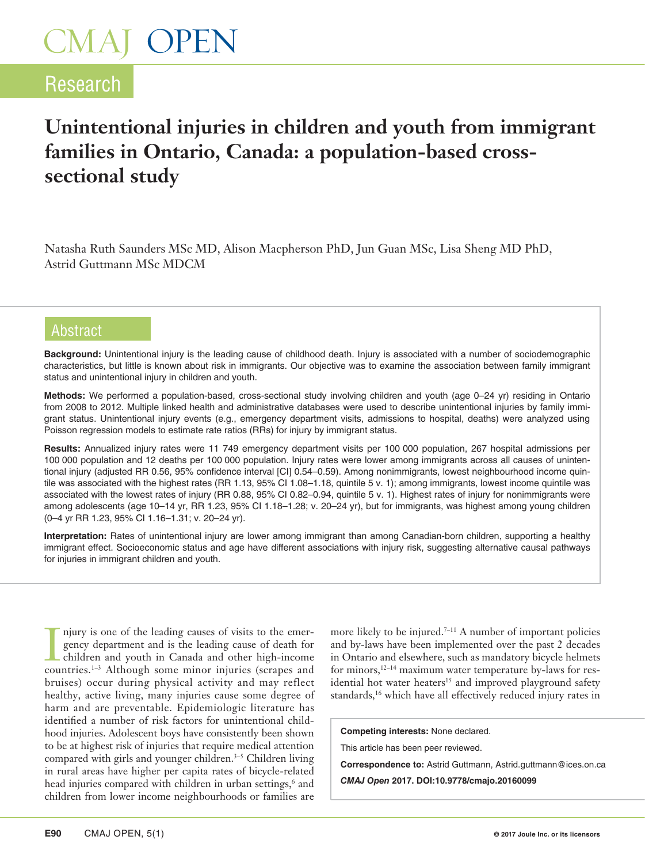### Research

### **Unintentional injuries in children and youth from immigrant families in Ontario, Canada: a population-based crosssectional study**

Natasha Ruth Saunders MSc MD, Alison Macpherson PhD, Jun Guan MSc, Lisa Sheng MD PhD, Astrid Guttmann MSc MDCM

#### Abstract

**Background:** Unintentional injury is the leading cause of childhood death. Injury is associated with a number of sociodemographic characteristics, but little is known about risk in immigrants. Our objective was to examine the association between family immigrant status and unintentional injury in children and youth.

**Methods:** We performed a population-based, cross-sectional study involving children and youth (age 0–24 yr) residing in Ontario from 2008 to 2012. Multiple linked health and administrative databases were used to describe unintentional injuries by family immigrant status. Unintentional injury events (e.g., emergency department visits, admissions to hospital, deaths) were analyzed using Poisson regression models to estimate rate ratios (RRs) for injury by immigrant status.

**Results:** Annualized injury rates were 11 749 emergency department visits per 100 000 population, 267 hospital admissions per 100 000 population and 12 deaths per 100 000 population. Injury rates were lower among immigrants across all causes of unintentional injury (adjusted RR 0.56, 95% confidence interval [CI] 0.54–0.59). Among nonimmigrants, lowest neighbourhood income quintile was associated with the highest rates (RR 1.13, 95% CI 1.08–1.18, quintile 5 v. 1); among immigrants, lowest income quintile was associated with the lowest rates of injury (RR 0.88, 95% CI 0.82–0.94, quintile 5 v. 1). Highest rates of injury for nonimmigrants were among adolescents (age 10–14 yr, RR 1.23, 95% CI 1.18–1.28; v. 20–24 yr), but for immigrants, was highest among young children (0–4 yr RR 1.23, 95% CI 1.16–1.31; v. 20–24 yr).

**Interpretation:** Rates of unintentional injury are lower among immigrant than among Canadian-born children, supporting a healthy immigrant effect. Socioeconomic status and age have different associations with injury risk, suggesting alternative causal pathways for injuries in immigrant children and youth.

I njury is one of the leading causes of visits to the emergency department and is the leading cause of death for children and youth in Canada and other high-income countries.<sup>1-3</sup> Although some minor injuries (scrapes and njury is one of the leading causes of visits to the emergency department and is the leading cause of death for children and youth in Canada and other high-income bruises) occur during physical activity and may reflect healthy, active living, many injuries cause some degree of harm and are preventable. Epidemiologic literature has identified a number of risk factors for unintentional childhood injuries. Adolescent boys have consistently been shown to be at highest risk of injuries that require medical attention compared with girls and younger children.<sup>3–5</sup> Children living in rural areas have higher per capita rates of bicycle-related head injuries compared with children in urban settings,<sup>6</sup> and children from lower income neighbourhoods or families are

more likely to be injured.<sup>7-11</sup> A number of important policies and by-laws have been implemented over the past 2 decades in Ontario and elsewhere, such as mandatory bicycle helmets for minors,12–14 maximum water temperature by-laws for residential hot water heaters<sup>15</sup> and improved playground safety standards,<sup>16</sup> which have all effectively reduced injury rates in

**Competing interests:** None declared.

This article has been peer reviewed.

**Correspondence to:** Astrid Guttmann, Astrid.guttmann@ices.on.ca

*CMAJ Open* **2017. DOI:10.9778/cmajo.20160099**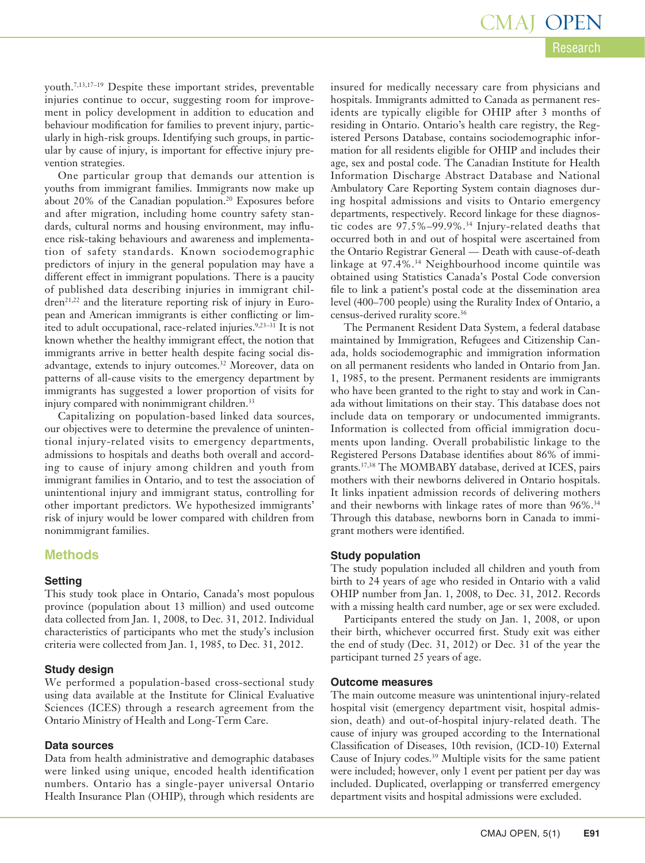### Research CMAJ OPEN

youth.7,13,17–19 Despite these important strides, preventable injuries continue to occur, suggesting room for improvement in policy development in addition to education and behaviour modification for families to prevent injury, particularly in high-risk groups. Identifying such groups, in particular by cause of injury, is important for effective injury prevention strategies.

One particular group that demands our attention is youths from immigrant families. Immigrants now make up about 20% of the Canadian population.<sup>20</sup> Exposures before and after migration, including home country safety standards, cultural norms and housing environment, may influence risk-taking behaviours and awareness and implementation of safety standards. Known sociodemographic predictors of injury in the general population may have a different effect in immigrant populations. There is a paucity of published data describing injuries in immigrant children<sup>21,22</sup> and the literature reporting risk of injury in European and American immigrants is either conflicting or limited to adult occupational, race-related injuries.<sup>9,23-31</sup> It is not known whether the healthy immigrant effect, the notion that immigrants arrive in better health despite facing social disadvantage, extends to injury outcomes.<sup>32</sup> Moreover, data on patterns of all-cause visits to the emergency department by immigrants has suggested a lower proportion of visits for injury compared with nonimmigrant children.<sup>33</sup>

Capitalizing on population-based linked data sources, our objectives were to determine the prevalence of unintentional injury-related visits to emergency departments, admissions to hospitals and deaths both overall and according to cause of injury among children and youth from immigrant families in Ontario, and to test the association of unintentional injury and immigrant status, controlling for other important predictors. We hypothesized immigrants' risk of injury would be lower compared with children from nonimmigrant families.

#### **Methods**

#### **Setting**

This study took place in Ontario, Canada's most populous province (population about 13 million) and used outcome data collected from Jan. 1, 2008, to Dec. 31, 2012. Individual characteristics of participants who met the study's inclusion criteria were collected from Jan. 1, 1985, to Dec. 31, 2012.

#### **Study design**

We performed a population-based cross-sectional study using data available at the Institute for Clinical Evaluative Sciences (ICES) through a research agreement from the Ontario Ministry of Health and Long-Term Care.

#### **Data sources**

Data from health administrative and demographic databases were linked using unique, encoded health identification numbers. Ontario has a single-payer universal Ontario Health Insurance Plan (OHIP), through which residents are

insured for medically necessary care from physicians and hospitals. Immigrants admitted to Canada as permanent residents are typically eligible for OHIP after 3 months of residing in Ontario. Ontario's health care registry, the Registered Persons Database, contains sociodemographic information for all residents eligible for OHIP and includes their age, sex and postal code. The Canadian Institute for Health Information Discharge Abstract Database and National Ambulatory Care Reporting System contain diagnoses during hospital admissions and visits to Ontario emergency departments, respectively. Record linkage for these diagnostic codes are 97.5%–99.9%.34 Injury-related deaths that occurred both in and out of hospital were ascertained from the Ontario Registrar General — Death with cause-of-death linkage at 97.4%.34 Neighbourhood income quintile was obtained using Statistics Canada's Postal Code conversion file to link a patient's postal code at the dissemination area level (400–700 people) using the Rurality Index of Ontario, a census-derived rurality score.<sup>36</sup>

The Permanent Resident Data System, a federal database maintained by Immigration, Refugees and Citizenship Canada, holds sociodemographic and immigration information on all permanent residents who landed in Ontario from Jan. 1, 1985, to the present. Permanent residents are immigrants who have been granted to the right to stay and work in Canada without limitations on their stay. This database does not include data on temporary or undocumented immigrants. Information is collected from official immigration documents upon landing. Overall probabilistic linkage to the Registered Persons Database identifies about 86% of immigrants.37,38 The MOMBABY database, derived at ICES, pairs mothers with their newborns delivered in Ontario hospitals. It links inpatient admission records of delivering mothers and their newborns with linkage rates of more than 96%.<sup>34</sup> Through this database, newborns born in Canada to immigrant mothers were identified.

#### **Study population**

The study population included all children and youth from birth to 24 years of age who resided in Ontario with a valid OHIP number from Jan. 1, 2008, to Dec. 31, 2012. Records with a missing health card number, age or sex were excluded.

Participants entered the study on Jan. 1, 2008, or upon their birth, whichever occurred first. Study exit was either the end of study (Dec. 31, 2012) or Dec. 31 of the year the participant turned 25 years of age.

#### **Outcome measures**

The main outcome measure was unintentional injury-related hospital visit (emergency department visit, hospital admission, death) and out-of-hospital injury-related death. The cause of injury was grouped according to the International Classification of Diseases, 10th revision, (ICD-10) External Cause of Injury codes.39 Multiple visits for the same patient were included; however, only 1 event per patient per day was included. Duplicated, overlapping or transferred emergency department visits and hospital admissions were excluded.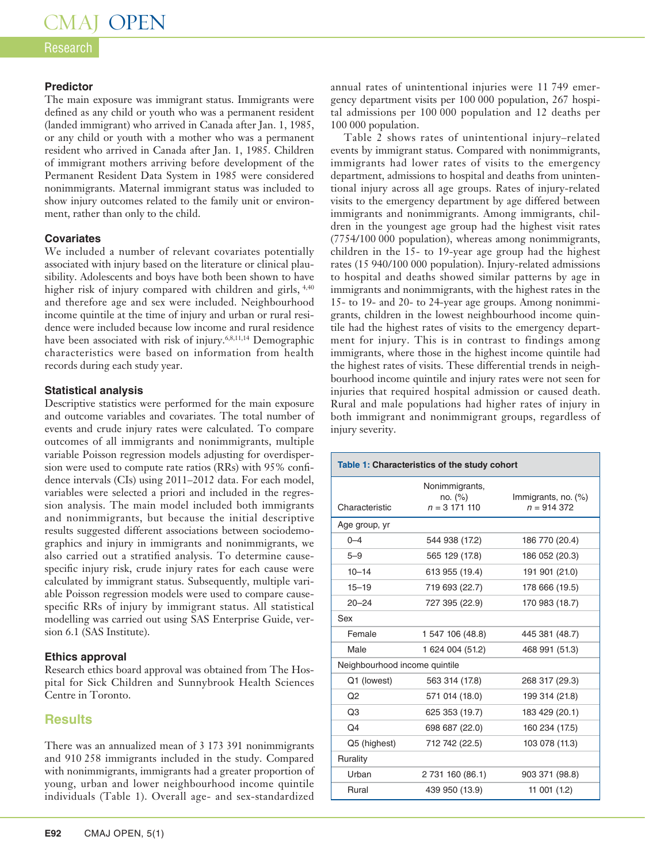#### **Research**

#### **Predictor**

The main exposure was immigrant status. Immigrants were defined as any child or youth who was a permanent resident (landed immigrant) who arrived in Canada after Jan. 1, 1985, or any child or youth with a mother who was a permanent resident who arrived in Canada after Jan. 1, 1985. Children of immigrant mothers arriving before development of the Permanent Resident Data System in 1985 were considered nonimmigrants. Maternal immigrant status was included to show injury outcomes related to the family unit or environment, rather than only to the child.

#### **Covariates**

We included a number of relevant covariates potentially associated with injury based on the literature or clinical plausibility. Adolescents and boys have both been shown to have higher risk of injury compared with children and girls,  $4,40$ and therefore age and sex were included. Neighbourhood income quintile at the time of injury and urban or rural residence were included because low income and rural residence have been associated with risk of injury.<sup>6,8,11,14</sup> Demographic characteristics were based on information from health records during each study year.

#### **Statistical analysis**

Descriptive statistics were performed for the main exposure and outcome variables and covariates. The total number of events and crude injury rates were calculated. To compare outcomes of all immigrants and nonimmigrants, multiple variable Poisson regression models adjusting for overdispersion were used to compute rate ratios (RRs) with 95% confidence intervals (CIs) using 2011–2012 data. For each model, variables were selected a priori and included in the regression analysis. The main model included both immigrants and nonimmigrants, but because the initial descriptive results suggested different associations between sociodemographics and injury in immigrants and nonimmigrants, we also carried out a stratified analysis. To determine causespecific injury risk, crude injury rates for each cause were calculated by immigrant status. Subsequently, multiple variable Poisson regression models were used to compare causespecific RRs of injury by immigrant status. All statistical modelling was carried out using SAS Enterprise Guide, version 6.1 (SAS Institute).

#### **Ethics approval**

Research ethics board approval was obtained from The Hospital for Sick Children and Sunnybrook Health Sciences Centre in Toronto.

#### **Results**

There was an annualized mean of 3 173 391 nonimmigrants and 910 258 immigrants included in the study. Compared with nonimmigrants, immigrants had a greater proportion of young, urban and lower neighbourhood income quintile individuals (Table 1). Overall age- and sex-standardized

Table 2 shows rates of unintentional injury–related events by immigrant status. Compared with nonimmigrants, immigrants had lower rates of visits to the emergency department, admissions to hospital and deaths from unintentional injury across all age groups. Rates of injury-related visits to the emergency department by age differed between immigrants and nonimmigrants. Among immigrants, children in the youngest age group had the highest visit rates (7754/100 000 population), whereas among nonimmigrants, children in the 15- to 19-year age group had the highest rates (15 940/100 000 population). Injury-related admissions to hospital and deaths showed similar patterns by age in immigrants and nonimmigrants, with the highest rates in the 15- to 19- and 20- to 24-year age groups. Among nonimmigrants, children in the lowest neighbourhood income quintile had the highest rates of visits to the emergency department for injury. This is in contrast to findings among immigrants, where those in the highest income quintile had the highest rates of visits. These differential trends in neighbourhood income quintile and injury rates were not seen for injuries that required hospital admission or caused death. Rural and male populations had higher rates of injury in both immigrant and nonimmigrant groups, regardless of injury severity.

| Table 1: Characteristics of the study cohort |                                            |                                     |  |  |  |  |
|----------------------------------------------|--------------------------------------------|-------------------------------------|--|--|--|--|
| Characteristic                               | Nonimmigrants,<br>no. (%)<br>$n = 3171110$ | Immigrants, no. (%)<br>$n = 914372$ |  |  |  |  |
| Age group, yr                                |                                            |                                     |  |  |  |  |
| $0 - 4$                                      | 544 938 (17.2)                             | 186 770 (20.4)                      |  |  |  |  |
| $5 - 9$                                      | 565 129 (17.8)                             | 186 052 (20.3)                      |  |  |  |  |
| $10 - 14$                                    | 613 955 (19.4)                             | 191 901 (21.0)                      |  |  |  |  |
| $15 - 19$                                    | 719 693 (22.7)                             | 178 666 (19.5)                      |  |  |  |  |
| $20 - 24$                                    | 727 395 (22.9)                             | 170 983 (18.7)                      |  |  |  |  |
| Sex                                          |                                            |                                     |  |  |  |  |
| Female                                       | 1 547 106 (48.8)                           | 445 381 (48.7)                      |  |  |  |  |
| Male                                         | 1 624 004 (51.2)                           | 468 991 (51.3)                      |  |  |  |  |
| Neighbourhood income quintile                |                                            |                                     |  |  |  |  |
| Q1 (lowest)                                  | 563 314 (17.8)                             | 268 317 (29.3)                      |  |  |  |  |
| O <sub>2</sub>                               | 571 014 (18.0)                             | 199 314 (21.8)                      |  |  |  |  |
| Q <sub>3</sub>                               | 625 353 (19.7)                             | 183 429 (20.1)                      |  |  |  |  |
| Q <sub>4</sub>                               | 698 687 (22.0)                             | 160 234 (17.5)                      |  |  |  |  |
| Q5 (highest)                                 | 712 742 (22.5)                             | 103 078 (11.3)                      |  |  |  |  |
| Rurality                                     |                                            |                                     |  |  |  |  |
| Urban                                        | 2 731 160 (86.1)                           | 903 371 (98.8)                      |  |  |  |  |
| Rural                                        | 439 950 (13.9)                             | 11 001 (1.2)                        |  |  |  |  |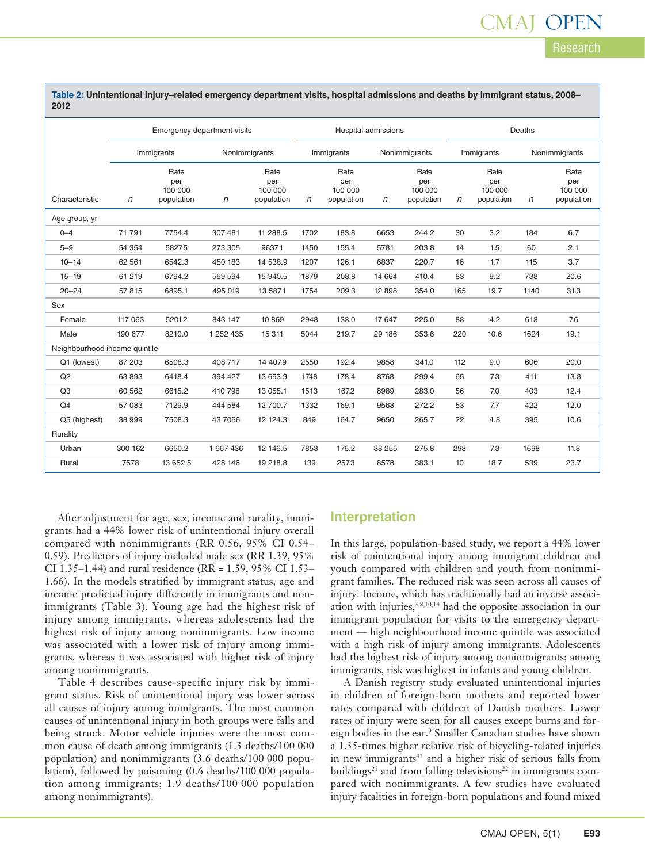| 2012                          |                             |                                      |               |                                      |      |                                      |              |                                      |              |                                      |               |                                      |
|-------------------------------|-----------------------------|--------------------------------------|---------------|--------------------------------------|------|--------------------------------------|--------------|--------------------------------------|--------------|--------------------------------------|---------------|--------------------------------------|
|                               | Emergency department visits |                                      |               | Hospital admissions                  |      |                                      | Deaths       |                                      |              |                                      |               |                                      |
|                               |                             | Immigrants                           | Nonimmigrants |                                      |      | Nonimmigrants<br>Immigrants          |              |                                      | Immigrants   |                                      | Nonimmigrants |                                      |
| Characteristic                | $\mathsf{n}$                | Rate<br>per<br>100 000<br>population | $\mathsf{n}$  | Rate<br>per<br>100 000<br>population | n    | Rate<br>per<br>100 000<br>population | $\mathsf{n}$ | Rate<br>per<br>100 000<br>population | $\mathsf{n}$ | Rate<br>per<br>100 000<br>population | $\mathsf{n}$  | Rate<br>per<br>100 000<br>population |
| Age group, yr                 |                             |                                      |               |                                      |      |                                      |              |                                      |              |                                      |               |                                      |
| $0 - 4$                       | 71 791                      | 7754.4                               | 307 481       | 11 288.5                             | 1702 | 183.8                                | 6653         | 244.2                                | 30           | 3.2                                  | 184           | 6.7                                  |
| $5 - 9$                       | 54 354                      | 5827.5                               | 273 305       | 9637.1                               | 1450 | 155.4                                | 5781         | 203.8                                | 14           | 1.5                                  | 60            | 2.1                                  |
| $10 - 14$                     | 62 561                      | 6542.3                               | 450 183       | 14 538.9                             | 1207 | 126.1                                | 6837         | 220.7                                | 16           | 1.7                                  | 115           | 3.7                                  |
| $15 - 19$                     | 61 219                      | 6794.2                               | 569 594       | 15 940.5                             | 1879 | 208.8                                | 14 664       | 410.4                                | 83           | 9.2                                  | 738           | 20.6                                 |
| $20 - 24$                     | 57815                       | 6895.1                               | 495 019       | 13 587.1                             | 1754 | 209.3                                | 12 898       | 354.0                                | 165          | 19.7                                 | 1140          | 31.3                                 |
| Sex                           |                             |                                      |               |                                      |      |                                      |              |                                      |              |                                      |               |                                      |
| Female                        | 117 063                     | 5201.2                               | 843 147       | 10 869                               | 2948 | 133.0                                | 17 647       | 225.0                                | 88           | 4.2                                  | 613           | 7.6                                  |
| Male                          | 190 677                     | 8210.0                               | 1 252 435     | 15 3 11                              | 5044 | 219.7                                | 29 186       | 353.6                                | 220          | 10.6                                 | 1624          | 19.1                                 |
| Neighbourhood income quintile |                             |                                      |               |                                      |      |                                      |              |                                      |              |                                      |               |                                      |
| Q1 (lowest)                   | 87 203                      | 6508.3                               | 408 717       | 14 407.9                             | 2550 | 192.4                                | 9858         | 341.0                                | 112          | 9.0                                  | 606           | 20.0                                 |
| Q2                            | 63 893                      | 6418.4                               | 394 427       | 13 693.9                             | 1748 | 178.4                                | 8768         | 299.4                                | 65           | 7.3                                  | 411           | 13.3                                 |
| Q3                            | 60 562                      | 6615.2                               | 410 798       | 13 055.1                             | 1513 | 167.2                                | 8989         | 283.0                                | 56           | 7.0                                  | 403           | 12.4                                 |
| Q4                            | 57 083                      | 7129.9                               | 444 584       | 12 700.7                             | 1332 | 169.1                                | 9568         | 272.2                                | 53           | 7.7                                  | 422           | 12.0                                 |
| Q5 (highest)                  | 38 999                      | 7508.3                               | 43 7056       | 12 124.3                             | 849  | 164.7                                | 9650         | 265.7                                | 22           | 4.8                                  | 395           | 10.6                                 |
| Rurality                      |                             |                                      |               |                                      |      |                                      |              |                                      |              |                                      |               |                                      |
| Urban                         | 300 162                     | 6650.2                               | 1 667 436     | 12 14 6.5                            | 7853 | 176.2                                | 38 255       | 275.8                                | 298          | 7.3                                  | 1698          | 11.8                                 |
| Rural                         | 7578                        | 13 652.5                             | 428 146       | 19 218.8                             | 139  | 257.3                                | 8578         | 383.1                                | 10           | 18.7                                 | 539           | 23.7                                 |

**Table 2: Unintentional injury–related emergency department visits, hospital admissions and deaths by immigrant status, 2008–**

After adjustment for age, sex, income and rurality, immigrants had a 44% lower risk of unintentional injury overall compared with nonimmigrants (RR 0.56, 95% CI 0.54– 0.59). Predictors of injury included male sex (RR 1.39, 95% CI 1.35–1.44) and rural residence (RR = 1.59, 95% CI 1.53– 1.66). In the models stratified by immigrant status, age and income predicted injury differently in immigrants and nonimmigrants (Table 3). Young age had the highest risk of injury among immigrants, whereas adolescents had the highest risk of injury among nonimmigrants. Low income was associated with a lower risk of injury among immigrants, whereas it was associated with higher risk of injury among nonimmigrants.

Table 4 describes cause-specific injury risk by immigrant status. Risk of unintentional injury was lower across all causes of injury among immigrants. The most common causes of unintentional injury in both groups were falls and being struck. Motor vehicle injuries were the most common cause of death among immigrants (1.3 deaths/100 000 population) and nonimmigrants (3.6 deaths/100 000 population), followed by poisoning (0.6 deaths/100 000 population among immigrants; 1.9 deaths/100 000 population among nonimmigrants).

#### **Interpretation**

In this large, population-based study, we report a 44% lower risk of unintentional injury among immigrant children and youth compared with children and youth from nonimmigrant families. The reduced risk was seen across all causes of injury. Income, which has traditionally had an inverse association with injuries,<sup>3,8,10,14</sup> had the opposite association in our immigrant population for visits to the emergency department — high neighbourhood income quintile was associated with a high risk of injury among immigrants. Adolescents had the highest risk of injury among nonimmigrants; among immigrants, risk was highest in infants and young children.

A Danish registry study evaluated unintentional injuries in children of foreign-born mothers and reported lower rates compared with children of Danish mothers. Lower rates of injury were seen for all causes except burns and foreign bodies in the ear.<sup>9</sup> Smaller Canadian studies have shown a 1.35-times higher relative risk of bicycling-related injuries in new immigrants<sup>41</sup> and a higher risk of serious falls from buildings<sup>21</sup> and from falling televisions<sup>22</sup> in immigrants compared with nonimmigrants. A few studies have evaluated injury fatalities in foreign-born populations and found mixed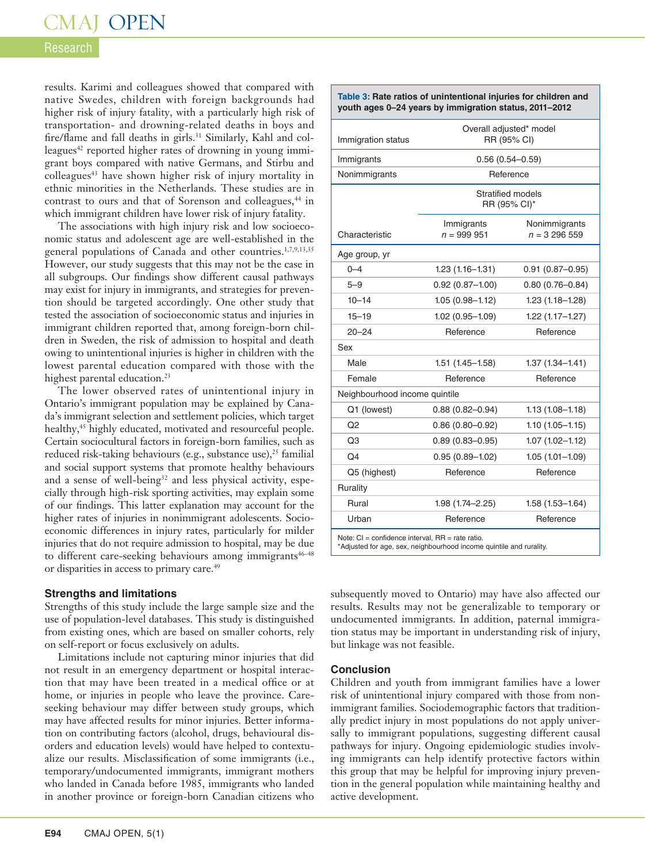#### Research

results. Karimi and colleagues showed that compared with native Swedes, children with foreign backgrounds had higher risk of injury fatality, with a particularly high risk of transportation- and drowning-related deaths in boys and fire/flame and fall deaths in girls.<sup>31</sup> Similarly, Kahl and colleagues<sup>42</sup> reported higher rates of drowning in young immigrant boys compared with native Germans, and Stirbu and colleagues<sup>43</sup> have shown higher risk of injury mortality in ethnic minorities in the Netherlands. These studies are in contrast to ours and that of Sorenson and colleagues,<sup>44</sup> in which immigrant children have lower risk of injury fatality.

The associations with high injury risk and low socioeconomic status and adolescent age are well-established in the general populations of Canada and other countries.<sup>1,7,9,13,35</sup> However, our study suggests that this may not be the case in all subgroups. Our findings show different causal pathways may exist for injury in immigrants, and strategies for prevention should be targeted accordingly. One other study that tested the association of socioeconomic status and injuries in immigrant children reported that, among foreign-born children in Sweden, the risk of admission to hospital and death owing to unintentional injuries is higher in children with the lowest parental education compared with those with the highest parental education.<sup>23</sup>

The lower observed rates of unintentional injury in Ontario's immigrant population may be explained by Canada's immigrant selection and settlement policies, which target healthy,<sup>45</sup> highly educated, motivated and resourceful people. Certain sociocultural factors in foreign-born families, such as reduced risk-taking behaviours (e.g., substance use),<sup>25</sup> familial and social support systems that promote healthy behaviours and a sense of well-being<sup>32</sup> and less physical activity, especially through high-risk sporting activities, may explain some of our findings. This latter explanation may account for the higher rates of injuries in nonimmigrant adolescents. Socioeconomic differences in injury rates, particularly for milder injuries that do not require admission to hospital, may be due to different care-seeking behaviours among immigrants<sup>46-48</sup> or disparities in access to primary care.<sup>49</sup>

#### **Strengths and limitations**

Strengths of this study include the large sample size and the use of population-level databases. This study is distinguished from existing ones, which are based on smaller cohorts, rely on self-report or focus exclusively on adults.

Limitations include not capturing minor injuries that did not result in an emergency department or hospital interaction that may have been treated in a medical office or at home, or injuries in people who leave the province. Careseeking behaviour may differ between study groups, which may have affected results for minor injuries. Better information on contributing factors (alcohol, drugs, behavioural disorders and education levels) would have helped to contextualize our results. Misclassification of some immigrants (i.e., temporary/undocumented immigrants, immigrant mothers who landed in Canada before 1985, immigrants who landed in another province or foreign-born Canadian citizens who

|                               | Table 3: Rate ratios of unintentional injuries for children and<br>youth ages 0-24 years by immigration status, 2011-2012 |                                |  |  |  |
|-------------------------------|---------------------------------------------------------------------------------------------------------------------------|--------------------------------|--|--|--|
| Immigration status            | Overall adjusted* model<br>RR (95% CI)                                                                                    |                                |  |  |  |
| Immigrants                    | $0.56(0.54 - 0.59)$                                                                                                       |                                |  |  |  |
| Nonimmigrants                 | Reference                                                                                                                 |                                |  |  |  |
|                               | Stratified models<br>RR (95% CI)*                                                                                         |                                |  |  |  |
| Characteristic                | Immigrants<br>$n = 999951$                                                                                                | Nonimmigrants<br>$n = 3296559$ |  |  |  |
| Age group, yr                 |                                                                                                                           |                                |  |  |  |
| $0 - 4$                       | $1.23(1.16 - 1.31)$                                                                                                       | $0.91(0.87 - 0.95)$            |  |  |  |
| $5 - 9$                       | $0.92(0.87 - 1.00)$                                                                                                       | $0.80(0.76 - 0.84)$            |  |  |  |
| $10 - 14$                     | $1.05(0.98 - 1.12)$                                                                                                       | $1.23(1.18 - 1.28)$            |  |  |  |
| $15 - 19$                     | $1.02(0.95 - 1.09)$                                                                                                       | $1.22(1.17 - 1.27)$            |  |  |  |
| $20 - 24$                     | Reference                                                                                                                 | Reference                      |  |  |  |
| Sex                           |                                                                                                                           |                                |  |  |  |
| Male                          | $1.51(1.45 - 1.58)$                                                                                                       | $1.37(1.34 - 1.41)$            |  |  |  |
| Female                        | Reference                                                                                                                 | Reference                      |  |  |  |
| Neighbourhood income quintile |                                                                                                                           |                                |  |  |  |
| Q1 (lowest)                   | $0.88(0.82 - 0.94)$                                                                                                       | $1.13(1.08 - 1.18)$            |  |  |  |
| O <sub>2</sub>                | $0.86(0.80 - 0.92)$                                                                                                       | $1.10(1.05 - 1.15)$            |  |  |  |
| Q3                            | $0.89(0.83 - 0.95)$                                                                                                       | $1.07(1.02 - 1.12)$            |  |  |  |
| Q <sub>4</sub>                | $0.95(0.89 - 1.02)$                                                                                                       | $1.05(1.01 - 1.09)$            |  |  |  |
| Q5 (highest)                  | Reference                                                                                                                 | Reference                      |  |  |  |
| Rurality                      |                                                                                                                           |                                |  |  |  |
| Rural                         | $1.98(1.74 - 2.25)$                                                                                                       | $1.58(1.53 - 1.64)$            |  |  |  |
| Urban                         | Reference                                                                                                                 | Reference                      |  |  |  |

subsequently moved to Ontario) may have also affected our results. Results may not be generalizable to temporary or undocumented immigrants. In addition, paternal immigration status may be important in understanding risk of injury, but linkage was not feasible.

#### **Conclusion**

Children and youth from immigrant families have a lower risk of unintentional injury compared with those from nonimmigrant families. Sociodemographic factors that traditionally predict injury in most populations do not apply universally to immigrant populations, suggesting different causal pathways for injury. Ongoing epidemiologic studies involving immigrants can help identify protective factors within this group that may be helpful for improving injury prevention in the general population while maintaining healthy and active development.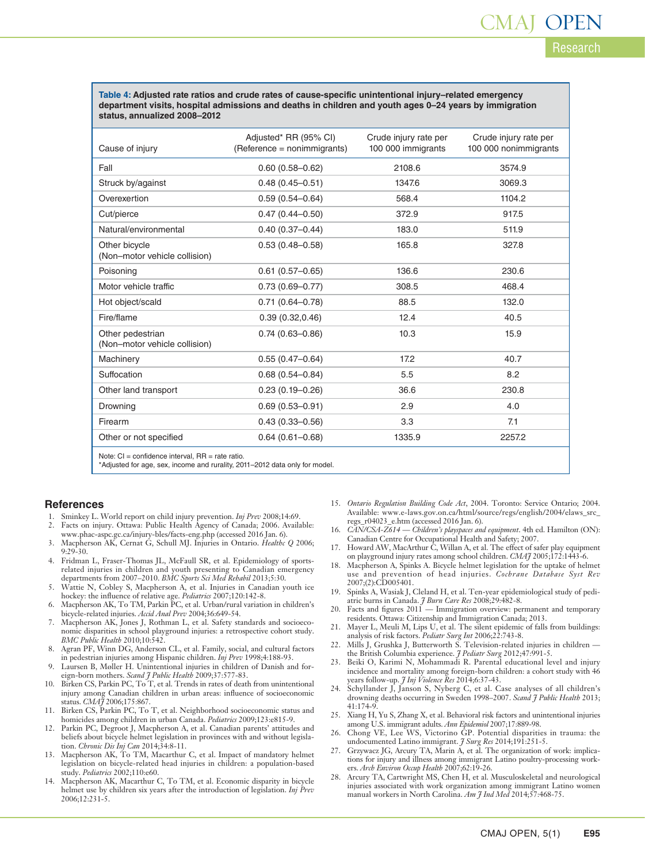**Table 4: Adjusted rate ratios and crude rates of cause-specific unintentional injury–related emergency department visits, hospital admissions and deaths in children and youth ages 0–24 years by immigration status, annualized 2008–2012**

| Cause of injury                                   | Adjusted* RR (95% CI)<br>(Reference = nonimmigrants) | Crude injury rate per<br>100 000 immigrants | Crude injury rate per<br>100 000 nonimmigrants |
|---------------------------------------------------|------------------------------------------------------|---------------------------------------------|------------------------------------------------|
| Fall                                              | $0.60(0.58 - 0.62)$                                  | 2108.6                                      | 3574.9                                         |
| Struck by/against                                 | $0.48(0.45 - 0.51)$                                  | 1347.6                                      | 3069.3                                         |
| Overexertion                                      | $0.59(0.54 - 0.64)$                                  | 568.4                                       | 1104.2                                         |
| Cut/pierce                                        | $0.47(0.44 - 0.50)$                                  | 372.9                                       | 917.5                                          |
| Natural/environmental                             | $0.40(0.37 - 0.44)$                                  | 183.0                                       | 511.9                                          |
| Other bicycle<br>(Non-motor vehicle collision)    | $0.53(0.48 - 0.58)$                                  | 165.8                                       | 327.8                                          |
| Poisoning                                         | $0.61(0.57 - 0.65)$                                  | 136.6                                       | 230.6                                          |
| Motor vehicle traffic                             | $0.73(0.69 - 0.77)$                                  | 308.5                                       | 468.4                                          |
| Hot object/scald                                  | $0.71(0.64 - 0.78)$                                  | 88.5                                        | 132.0                                          |
| Fire/flame                                        | 0.39(0.32, 0.46)                                     | 12.4                                        | 40.5                                           |
| Other pedestrian<br>(Non-motor vehicle collision) | $0.74(0.63 - 0.86)$                                  | 10.3                                        | 15.9                                           |
| Machinery                                         | $0.55(0.47 - 0.64)$                                  | 17.2                                        | 40.7                                           |
| Suffocation                                       | $0.68(0.54 - 0.84)$                                  | 5.5                                         | 8.2                                            |
| Other land transport                              | $0.23(0.19 - 0.26)$                                  | 36.6                                        | 230.8                                          |
| Drowning                                          | $0.69(0.53 - 0.91)$                                  | 2.9                                         | 4.0                                            |
| Firearm                                           | $0.43(0.33 - 0.56)$                                  | 3.3                                         | 7.1                                            |
| Other or not specified                            | $0.64(0.61 - 0.68)$                                  | 1335.9                                      | 2257.2                                         |
|                                                   |                                                      |                                             |                                                |

Note:  $CI =$  confidence interval.  $RR =$  rate ratio.

\*Adjusted for age, sex, income and rurality, 2011–2012 data only for model.

#### **References**

- 1. Sminkey L. World report on child injury prevention. *Inj Prev* 2008;14:69.
- 2. Facts on injury. Ottawa: Public Health Agency of Canada; 2006. Available: www.phac-aspc.gc.ca/injury-bles/facts-eng.php (accessed 2016 Jan. 6).
- 3. Macpherson AK, Cernat G, Schull MJ. Injuries in Ontario. *Healthc Q* 2006; 9:29-30.
- 4. Fridman L, Fraser-Thomas JL, McFaull SR, et al. Epidemiology of sportsrelated injuries in children and youth presenting to Canadian emergency departments from 2007–2010. *BMC Sports Sci Med Rehabil* 2013;5:30.
- 5. Wattie N, Cobley S, Macpherson A, et al. Injuries in Canadian youth ice hockey: the influence of relative age. *Pediatrics* 2007;120:142-8.
- 6. Macpherson AK, To TM, Parkin PC, et al. Urban/rural variation in children's bicycle-related injuries. *Accid Anal Prev* 2004;36:649-54.
- 7. Macpherson AK, Jones J, Rothman L, et al. Safety standards and socioeconomic disparities in school playground injuries: a retrospective cohort study. *BMC Public Health* 2010;10:542.
- 8. Agran PF, Winn DG, Anderson CL, et al. Family, social, and cultural factors in pedestrian injuries among Hispanic children. *Inj Prev* 1998;4:188-93.
- 9. Laursen B, Møller H. Unintentional injuries in children of Danish and foreign-born mothers. *Scand J Public Health* 2009;37:577-83.
- 10. Birken CS, Parkin PC, To T, et al. Trends in rates of death from unintentional injury among Canadian children in urban areas: influence of socioeconomic status. *CMAJ* 2006;175:867.
- 11. Birken CS, Parkin PC, To T, et al. Neighborhood socioeconomic status and homicides among children in urban Canada. *Pediatrics* 2009;123:e815-9.
- 12. Parkin PC, Degroot J, Macpherson A, et al. Canadian parents' attitudes and beliefs about bicycle helmet legislation in provinces with and without legislation. *Chronic Dis Inj Can* 2014;34:8-11.
- 13. Macpherson AK, To TM, Macarthur C, et al. Impact of mandatory helmet legislation on bicycle-related head injuries in children: a population-based study. *Pediatrics* 2002;110:e60.
- 14. Macpherson AK, Macarthur C, To TM, et al. Economic disparity in bicycle helmet use by children six years after the introduction of legislation. *Inj Prev* 2006;12:231-5.
- 15. *Ontario Regulation Building Code Act*, 2004. Toronto: Service Ontario; 2004. Available: www.e-laws.gov.on.ca/html/source/regs/english/2004/elaws\_src\_ regs\_r04023\_e.htm (accessed 2016 Jan. 6).
- 16. *CAN/CSA-Z614 Children's playspaces and equipment*. 4th ed. Hamilton (ON): Canadian Centre for Occupational Health and Safety; 2007.
- 17. Howard AW, MacArthur C, Willan A, et al. The effect of safer play equipment on playground injury rates among school children. *CMAJ* 2005;172:1443-6.
- 18. Macpherson A, Spinks A. Bicycle helmet legislation for the uptake of helmet use and prevention of head injuries. *Cochrane Database Syst Rev* 2007;(2):CD005401.
- 19. Spinks A, Wasiak J, Cleland H, et al. Ten-year epidemiological study of pediatric burns in Canada. *J Burn Care Res* 2008;29:482-8.
- 20. Facts and figures  $2011$  Immigration overview: permanent and temporary residents. Ottawa: Citizenship and Immigration Canada; 2013.
- 21. Mayer L, Meuli M, Lips U, et al. The silent epidemic of falls from buildings: analysis of risk factors. *Pediatr Surg Int* 2006;22:743-8.
- 22. Mills J, Grushka J, Butterworth S. Television-related injuries in children the British Columbia experience. *J Pediatr Surg* 2012;47:991-5.
- 23. Beiki O, Karimi N, Mohammadi R. Parental educational level and injury incidence and mortality among foreign-born children: a cohort study with 46 years follow-up. *J Inj Violence Res* 2014;6:37-43.
- 24. Schyllander J, Janson S, Nyberg C, et al. Case analyses of all children's drowning deaths occurring in Sweden 1998–2007. *Scand J Public Health* 2013; 41:174-9.
- 25. Xiang H, Yu S, Zhang X, et al. Behavioral risk factors and unintentional injuries among U.S. immigrant adults. *Ann Epidemiol* 2007;17:889-98.
- 26. Chong VE, Lee WS, Victorino GP. Potential disparities in trauma: the undocumented Latino immigrant. *J Surg Res* 2014;191:251-5.
- Grzywacz JG, Arcury TA, Marin A, et al. The organization of work: implications for injury and illness among immigrant Latino poultry-processing workers. *Arch Environ Occup Health* 2007;62:19-26.
- 28. Arcury TA, Cartwright MS, Chen H, et al. Musculoskeletal and neurological injuries associated with work organization among immigrant Latino women manual workers in North Carolina. *Am J Ind Med* 2014;57:468-75.